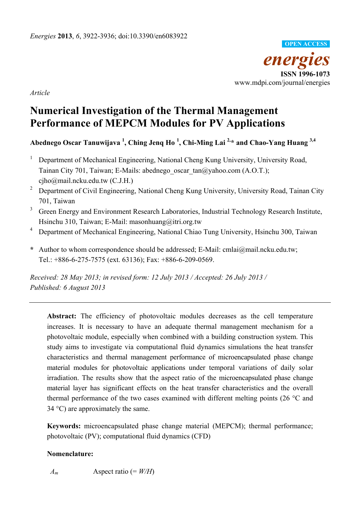

*Article* 

# **Numerical Investigation of the Thermal Management Performance of MEPCM Modules for PV Applications**

# **Abednego Oscar Tanuwijava 1 , Ching Jenq Ho <sup>1</sup> , Chi-Ming Lai 2,\* and Chao-Yang Huang 3,4**

- 1 Department of Mechanical Engineering, National Cheng Kung University, University Road, Tainan City 701, Taiwan; E-Mails: abednego\_oscar\_tan@yahoo.com (A.O.T.); cjho@mail.ncku.edu.tw (C.J.H.)
- 2 Department of Civil Engineering, National Cheng Kung University, University Road, Tainan City 701, Taiwan
- 3 Green Energy and Environment Research Laboratories, Industrial Technology Research Institute, Hsinchu 310, Taiwan; E-Mail: masonhuang@itri.org.tw
- <sup>4</sup> Department of Mechanical Engineering, National Chiao Tung University, Hsinchu 300, Taiwan
- **\*** Author to whom correspondence should be addressed; E-Mail: cmlai@mail.ncku.edu.tw; Tel.: +886-6-275-7575 (ext. 63136); Fax: +886-6-209-0569.

*Received: 28 May 2013; in revised form: 12 July 2013 / Accepted: 26 July 2013 / Published: 6 August 2013* 

Abstract: The efficiency of photovoltaic modules decreases as the cell temperature increases. It is necessary to have an adequate thermal management mechanism for a photovoltaic module, especially when combined with a building construction system. This study aims to investigate via computational fluid dynamics simulations the heat transfer characteristics and thermal management performance of microencapsulated phase change material modules for photovoltaic applications under temporal variations of daily solar irradiation. The results show that the aspect ratio of the microencapsulated phase change material layer has significant effects on the heat transfer characteristics and the overall thermal performance of the two cases examined with different melting points (26 °C and  $34 \text{ °C}$ ) are approximately the same.

**Keywords:** microencapsulated phase change material (MEPCM); thermal performance; photovoltaic (PV); computational fluid dynamics (CFD)

# **Nomenclature:**

 $A_m$  Aspect ratio (=  $W/H$ )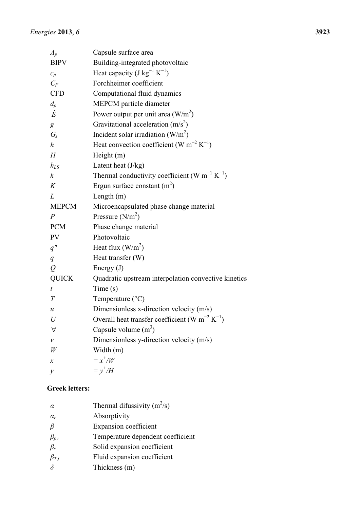| $A_p$                      | Capsule surface area                                                   |
|----------------------------|------------------------------------------------------------------------|
| <b>BIPV</b>                | Building-integrated photovoltaic                                       |
| $c_p$                      | Heat capacity (J kg <sup>-1</sup> K <sup>-1</sup> )                    |
| $C_F$                      | Forchheimer coefficient                                                |
| <b>CFD</b>                 | Computational fluid dynamics                                           |
| $d_p$                      | MEPCM particle diameter                                                |
| $\dot{E}$                  | Power output per unit area $(W/m^2)$                                   |
| g                          | Gravitational acceleration $(m/s^2)$                                   |
| $G_s$                      | Incident solar irradiation $(W/m^2)$                                   |
| $\boldsymbol{h}$           | Heat convection coefficient (W m <sup>-2</sup> K <sup>-1</sup> )       |
| H                          | Height $(m)$                                                           |
| $h_{LS}$                   | Latent heat $(J/kg)$                                                   |
| $\boldsymbol{k}$           | Thermal conductivity coefficient (W m <sup>-1</sup> K <sup>-1</sup> )  |
| K                          | Ergun surface constant $(m^2)$                                         |
| L                          | Length $(m)$                                                           |
| <b>MEPCM</b>               | Microencapsulated phase change material                                |
| $\overline{P}$             | Pressure $(N/m2)$                                                      |
| <b>PCM</b>                 | Phase change material                                                  |
| <b>PV</b>                  | Photovoltaic                                                           |
| q''                        | Heat flux $(W/m^2)$                                                    |
| q                          | Heat transfer (W)                                                      |
| $\varrho$                  | Energy $(J)$                                                           |
| <b>QUICK</b>               | Quadratic upstream interpolation convective kinetics                   |
| $\boldsymbol{t}$           | Time(s)                                                                |
| T                          | Temperature $(^{\circ}C)$                                              |
| $\mathcal{U}$              | Dimensionless x-direction velocity (m/s)                               |
| U                          | Overall heat transfer coefficient (W m <sup>-2</sup> K <sup>-1</sup> ) |
| $\forall$                  | Capsule volume $(m3)$                                                  |
| $\mathcal V$               | Dimensionless y-direction velocity (m/s)                               |
| W                          | Width (m)                                                              |
| $\boldsymbol{\mathcal{X}}$ | $=x^{\dagger}/W$                                                       |
| $\mathcal{Y}$              | $= y^{\dagger}/H$                                                      |

# **Greek letters:**

| $\alpha$      | Thermal difussivity $(m^2/s)$     |
|---------------|-----------------------------------|
| $\alpha_r$    | Absorptivity                      |
| $\beta$       | Expansion coefficient             |
| $\beta_{pv}$  | Temperature dependent coefficient |
| $\beta_{s}$   | Solid expansion coefficient       |
| $\beta_{T,f}$ | Fluid expansion coefficient       |
| $\delta$      | Thickness (m)                     |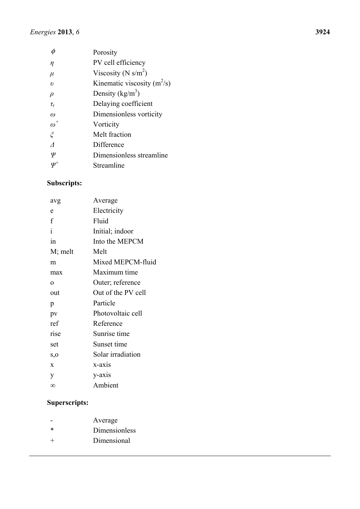|                                | Porosity                        |
|--------------------------------|---------------------------------|
| η                              | PV cell efficiency              |
| $\mu$                          | Viscosity (N s/m <sup>2</sup> ) |
| $\boldsymbol{v}$               | Kinematic viscosity $(m^2/s)$   |
| $\rho$                         | Density $(kg/m^3)$              |
| $\tau_{\scriptscriptstyle{t}}$ | Delaying coefficient            |
| $\omega$                       | Dimensionless vorticity         |
| $\omega^+$                     | Vorticity                       |
| $\zeta$                        | Melt fraction                   |
|                                | Difference                      |
| Ψ                              | Dimensionless streamline        |
|                                | Streamline                      |
|                                |                                 |

# **Subscripts:**

| Average            |
|--------------------|
| Electricity        |
| Fluid              |
| Initial; indoor    |
| Into the MEPCM     |
| Melt               |
| Mixed MEPCM-fluid  |
| Maximum time       |
| Outer; reference   |
| Out of the PV cell |
| Particle           |
| Photovoltaic cell  |
| Reference          |
| Sunrise time       |
| Sunset time        |
| Solar irradiation  |
| x-axis             |
| y-axis             |
| Ambient            |
|                    |

# **Superscripts:**

|        | Average       |
|--------|---------------|
| $\ast$ | Dimensionless |
| $\pm$  | Dimensional   |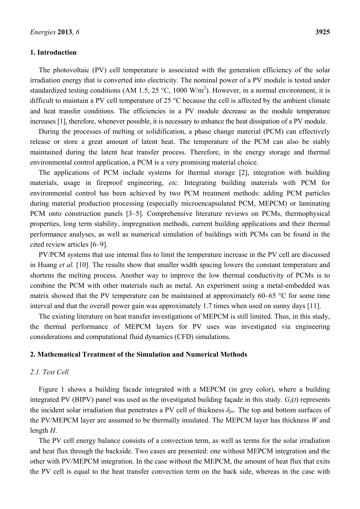## **1. Introduction**

The photovoltaic (PV) cell temperature is associated with the generation efficiency of the solar irradiation energy that is converted into electricity. The nominal power of a PV module is tested under standardized testing conditions (AM 1.5, 25 °C, 1000 W/m<sup>2</sup>). However, in a normal environment, it is difficult to maintain a PV cell temperature of 25 °C because the cell is affected by the ambient climate and heat transfer conditions. The efficiencies in a PV module decrease as the module temperature increases [1], therefore, whenever possible, it is necessary to enhance the heat dissipation of a PV module.

During the processes of melting or solidification, a phase change material (PCM) can effectively release or store a great amount of latent heat. The temperature of the PCM can also be stably maintained during the latent heat transfer process. Therefore, in the energy storage and thermal environmental control application, a PCM is a very promising material choice.

The applications of PCM include systems for thermal storage [2], integration with building materials, usage in fireproof engineering, *etc.* Integrating building materials with PCM for environmental control has been achieved by two PCM treatment methods: adding PCM particles during material production processing (especially microencapsulated PCM, MEPCM) or laminating PCM onto construction panels [3–5]. Comprehensive literature reviews on PCMs, thermophysical properties, long term stability, impregnation methods, current building applications and their thermal performance analyses, as well as numerical simulation of buildings with PCMs can be found in the cited review articles [6–9].

PV/PCM systems that use internal fins to limit the temperature increase in the PV cell are discussed in Huang *et al.* [10]. The results show that smaller width spacing lowers the constant temperature and shortens the melting process. Another way to improve the low thermal conductivity of PCMs is to combine the PCM with other materials such as metal. An experiment using a metal-embedded wax matrix showed that the PV temperature can be maintained at approximately  $60-65$  °C for some time interval and that the overall power gain was approximately 1.7 times when used on sunny days [11].

The existing literature on heat transfer investigations of MEPCM is still limited. Thus, in this study, the thermal performance of MEPCM layers for PV uses was investigated via engineering considerations and computational fluid dynamics (CFD) simulations.

## **2. Mathematical Treatment of the Simulation and Numerical Methods**

## *2.1. Test Cell*

Figure 1 shows a building facade integrated with a MEPCM (in grey color), where a building integrated PV (BIPV) panel was used as the investigated building façade in this study.  $G<sub>s</sub>(t)$  represents the incident solar irradiation that penetrates a PV cell of thickness *δpv.* The top and bottom surfaces of the PV/MEPCM layer are assumed to be thermally insulated. The MEPCM layer has thickness *W* and length *H*.

The PV cell energy balance consists of a convection term, as well as terms for the solar irradiation and heat flux through the backside. Two cases are presented: one without MEPCM integration and the other with PV/MEPCM integration. In the case without the MEPCM, the amount of heat flux that exits the PV cell is equal to the heat transfer convection term on the back side, whereas in the case with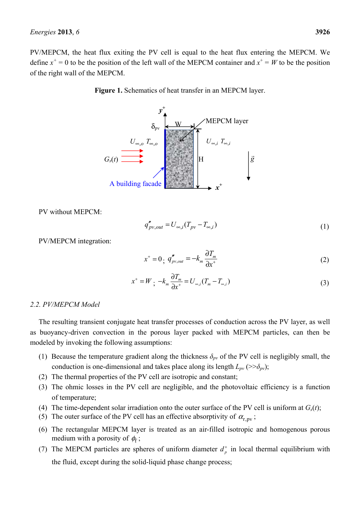**Figure 1.** Schematics of heat transfer in an MEPCM layer.



PV without MEPCM:

$$
q_{pv,out}'' = U_{\infty,i}(T_{pv} - T_{\infty,i})
$$
\n<sup>(1)</sup>

PV/MEPCM integration:

$$
x^+ = 0 \, , \, q''_{pv,out} = -k_m \frac{\partial T_m}{\partial x^+}
$$
 (2)

$$
x^+ = W \, ; \, -k_m \, \frac{\partial T_m}{\partial x^+} = U_{\infty,i} (T_m - T_{\infty,i}) \tag{3}
$$

# *2.2. PV/MEPCM Model*

The resulting transient conjugate heat transfer processes of conduction across the PV layer, as well as buoyancy-driven convection in the porous layer packed with MEPCM particles, can then be modeled by invoking the following assumptions:

- (1) Because the temperature gradient along the thickness  $\delta_{pv}$  of the PV cell is negligibly small, the conduction is one-dimensional and takes place along its length  $L_{pv} \left( \frac{>> \delta_{pv}}{v} \right)$ ;
- (2) The thermal properties of the PV cell are isotropic and constant;
- (3) The ohmic losses in the PV cell are negligible, and the photovoltaic efficiency is a function of temperature;
- (4) The time-dependent solar irradiation onto the outer surface of the PV cell is uniform at  $G<sub>s</sub>(t)$ ;
- (5) The outer surface of the PV cell has an effective absorptivity of  $\alpha_{r,pv}$ ;
- (6) The rectangular MEPCM layer is treated as an air-filled isotropic and homogenous porous medium with a porosity of  $\phi_f$ ;
- (7) The MEPCM particles are spheres of uniform diameter  $d_n^+$  in local thermal equilibrium with the fluid, except during the solid-liquid phase change process;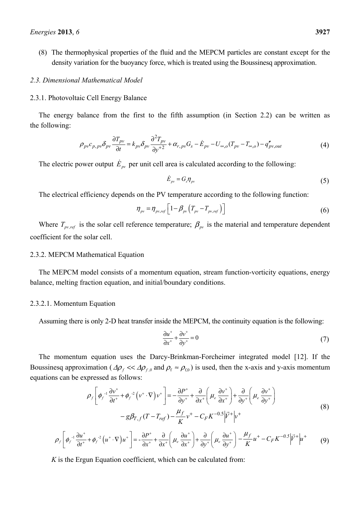(8) The thermophysical properties of the fluid and the MEPCM particles are constant except for the density variation for the buoyancy force, which is treated using the Boussinesq approximation.

#### *2.3. Dimensional Mathematical Model*

#### 2.3.1. Photovoltaic Cell Energy Balance

The energy balance from the first to the fifth assumption (in Section 2.2) can be written as the following:

$$
\rho_{pv}c_{p,pv}\delta_{pv}\frac{\partial T_{pv}}{\partial t}=k_{pv}\delta_{pv}\frac{\partial^2 T_{pv}}{\partial y^2}+\alpha_{r,pv}G_s-\dot{E}_{pv}-U_{\infty,o}(T_{pv}-T_{\infty,o})-q_{pv,out}''\tag{4}
$$

The electric power output  $\dot{E}_{pv}$  per unit cell area is calculated according to the following:

$$
\dot{E}_{pv} = G_s \eta_{pv} \tag{5}
$$

The electrical efficiency depends on the PV temperature according to the following function:

$$
\eta_{\scriptscriptstyle{pv}} = \eta_{\scriptscriptstyle{pv,ref}} \left[ 1 - \beta_{\scriptscriptstyle{pv}} \left( T_{\scriptscriptstyle{pv}} - T_{\scriptscriptstyle{pv,ref}} \right) \right] \tag{6}
$$

Where  $T_{pv,ref}$  is the solar cell reference temperature;  $\beta_{pv}$  is the material and temperature dependent coefficient for the solar cell.

#### 2.3.2. MEPCM Mathematical Equation

The MEPCM model consists of a momentum equation, stream function-vorticity equations, energy balance, melting fraction equation, and initial/boundary conditions.

### 2.3.2.1. Momentum Equation

Assuming there is only 2-D heat transfer inside the MEPCM, the continuity equation is the following:

$$
\frac{\partial u^+}{\partial x^+} + \frac{\partial v^+}{\partial y^+} = 0\tag{7}
$$

The momentum equation uses the Darcy-Brinkman-Forcheimer integrated model [12]. If the Boussinesq approximation ( $\Delta \rho_f \ll \Delta \rho_{f,0}$  and  $\rho_f \approx \rho_{f,0}$ ) is used, then the x-axis and y-axis momentum equations can be expressed as follows:

$$
\rho_f \left[ \phi_f^{-1} \frac{\partial v^+}{\partial t^+} + \phi_f^{-2} \left( v^+ \cdot \nabla \right) v^+ \right] = -\frac{\partial P^+}{\partial y^+} + \frac{\partial}{\partial x^+} \left( \mu_e \frac{\partial v^+}{\partial x^+} \right) + \frac{\partial}{\partial y^+} \left( \mu_e \frac{\partial v^+}{\partial y^+} \right) - g \beta_{T,f} (T - T_{ref}) - \frac{\mu_f}{K} v^+ - C_F K^{-0.5} \left| \vec{V}^+ \right| v^+ \tag{8}
$$

$$
\rho_f \left[ \phi_f^{-1} \frac{\partial u^+}{\partial t^+} + \phi_f^{-2} \left( u^+ \cdot \nabla \right) u^+ \right] = -\frac{\partial P^+}{\partial x^+} + \frac{\partial}{\partial x^+} \left( \mu_e \frac{\partial u^+}{\partial x^+} \right) + \frac{\partial}{\partial y^+} \left( \mu_e \frac{\partial u^+}{\partial y^+} \right) - \frac{\mu_f}{K} u^+ - C_F K^{-0.5} \left| \vec{V}^+ \right| u^+ \tag{9}
$$

*K* is the Ergun Equation coefficient, which can be calculated from: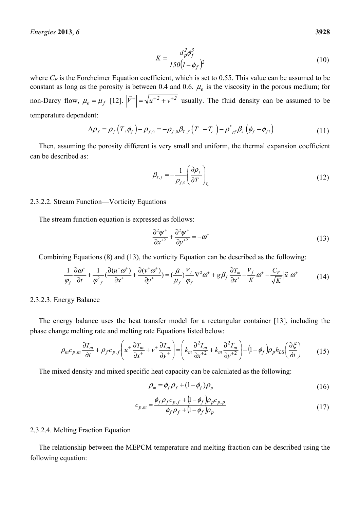where  $C_F$  is the Forcheimer Equation coefficient, which is set to 0.55. This value can be assumed to be constant as long as the porosity is between 0.4 and 0.6.  $\mu_e$  is the viscosity in the porous medium; for non-Darcy flow,  $\mu_e = \mu_f$  [12].  $|\vec{V}^+| = \sqrt{u^+ + v^+ + v^+}$  usually. The fluid density can be assumed to be temperature dependent:

$$
\Delta \rho_f = \rho_f \left( T, \phi_f \right) - \rho_{f,0} = -\rho_{f,0} \beta_{T,f} \left( T - T_c \right) - \rho_{pf}^* \beta_s \left( \phi_f - \phi_{fi} \right) \tag{11}
$$

Then, assuming the porosity different is very small and uniform, the thermal expansion coefficient can be described as:

$$
\beta_{T,f} = -\frac{1}{\rho_{f,0}} \left( \frac{\partial \rho_f}{\partial T} \right)_{T_c}
$$
\n(12)

### 2.3.2.2. Stream Function—Vorticity Equations

The stream function equation is expressed as follows:

$$
\frac{\partial^2 \psi^+}{\partial x^{+2}} + \frac{\partial^2 \psi^+}{\partial y^{+2}} = -\omega^+ \tag{13}
$$

Combining Equations (8) and (13), the vorticity Equation can be described as the following:

$$
\frac{1}{\varphi_f} \frac{\partial \omega^+}{\partial t} + \frac{1}{\varphi_{f}^2} \left( \frac{\partial (u^+ \omega^+)}{\partial x^+} + \frac{\partial (v^+ \omega^+)}{\partial y^+} \right) = \left( \frac{\tilde{\mu}}{\mu_f} \right) \frac{V_f}{\varphi_f} \nabla^2 \omega^+ + g \beta_f \frac{\partial T_m}{\partial x^+} - \frac{V_f}{K} \omega^+ - \frac{C_F}{\sqrt{K}} |\vec{u}| \omega^+ \tag{14}
$$

2.3.2.3. Energy Balance

The energy balance uses the heat transfer model for a rectangular container [13], including the phase change melting rate and melting rate Equations listed below:

$$
\rho_m c_{p,m} \frac{\partial T_m}{\partial t} + \rho_f c_{p,f} \left( u^+ \frac{\partial T_m}{\partial x^+} + v^+ \frac{\partial T_m}{\partial y^+} \right) = \left( k_m \frac{\partial^2 T_m}{\partial x^+} + k_m \frac{\partial^2 T_m}{\partial y^+} \right) - \left( 1 - \phi_f \right) \rho_p h_{LS} \left( \frac{\partial \xi}{\partial t} \right) \tag{15}
$$

The mixed density and mixed specific heat capacity can be calculated as the following:

$$
\rho_m = \phi_f \rho_f + (1 - \phi_f) \rho_p \tag{16}
$$

$$
c_{p,m} = \frac{\phi_f \rho_f c_{p,f} + (1 - \phi_f) \rho_p c_{p,p}}{\phi_f \rho_f + (1 - \phi_f) \rho_p}
$$
(17)

### 2.3.2.4. Melting Fraction Equation

The relationship between the MEPCM temperature and melting fraction can be described using the following equation: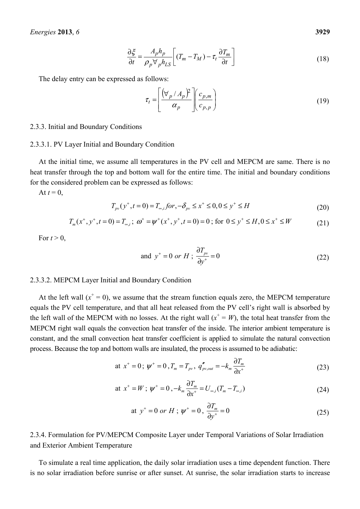$$
\frac{\partial \xi}{\partial t} = \frac{A_p h_p}{\rho_p \forall_p h_{LS}} \left[ (T_m - T_M) - \tau_t \frac{\partial T_m}{\partial t} \right]
$$
(18)

The delay entry can be expressed as follows:

$$
\tau_t = \left[ \frac{\left(\forall_p / A_p\right)^2}{\alpha_p} \right] \left(\frac{c_{p,m}}{c_{p,p}}\right) \tag{19}
$$

#### 2.3.3. Initial and Boundary Conditions

#### 2.3.3.1. PV Layer Initial and Boundary Condition

At the initial time, we assume all temperatures in the PV cell and MEPCM are same. There is no heat transfer through the top and bottom wall for the entire time. The initial and boundary conditions for the considered problem can be expressed as follows:

At  $t = 0$ ,

$$
T_{p\nu}(y^+, t = 0) = T_{\infty,i} \text{ for } -\delta_{p\nu} \le x^+ \le 0, 0 \le y^+ \le H
$$
\n(20)

$$
T_m(x^+, y^+, t = 0) = T_{\infty, i}; \ \omega^+ = \psi^+(x^+, y^+, t = 0) = 0; \text{ for } 0 \le y^+ \le H, 0 \le x^+ \le W \tag{21}
$$

For  $t > 0$ ,

and 
$$
y^+ = 0
$$
 or  $H$ ;  $\frac{\partial T_{pv}}{\partial y^+} = 0$  (22)

#### 2.3.3.2. MEPCM Layer Initial and Boundary Condition

At the left wall  $(x^+ = 0)$ , we assume that the stream function equals zero, the MEPCM temperature equals the PV cell temperature, and that all heat released from the PV cell's right wall is absorbed by the left wall of the MEPCM with no losses. At the right wall  $(x^+ = W)$ , the total heat transfer from the MEPCM right wall equals the convection heat transfer of the inside. The interior ambient temperature is constant, and the small convection heat transfer coefficient is applied to simulate the natural convection process. Because the top and bottom walls are insulated, the process is assumed to be adiabatic:

at 
$$
x^+ = 0
$$
;  $\psi^+ = 0$ ,  $T_m = T_{pv}$ ,  $q''_{pv,out} = -k_m \frac{\partial T_m}{\partial x^+}$  (23)

at 
$$
x^+ = W
$$
;  $\psi^+ = 0$ ,  $-k_m \frac{\partial T_m}{\partial x^+} = U_{\infty,i}(T_m - T_{\infty,i})$  (24)

at 
$$
y^+ = 0
$$
 or  $H$ ;  $\psi^+ = 0$ ,  $\frac{\partial T_m}{\partial y^+} = 0$  (25)

2.3.4. Formulation for PV/MEPCM Composite Layer under Temporal Variations of Solar Irradiation and Exterior Ambient Temperature

To simulate a real time application, the daily solar irradiation uses a time dependent function. There is no solar irradiation before sunrise or after sunset. At sunrise, the solar irradiation starts to increase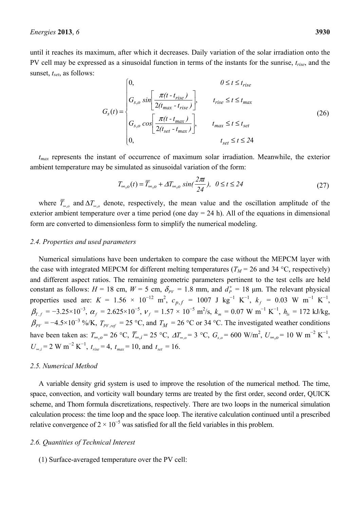until it reaches its maximum, after which it decreases. Daily variation of the solar irradiation onto the PV cell may be expressed as a sinusoidal function in terms of the instants for the sunrise, *trise*, and the sunset, *tset*, as follows:

$$
G_{s}(t) = \begin{cases} 0, & 0 \le t \le t_{rise} \\ G_{s,o} \sin\left[\frac{\pi(t - t_{rise})}{2(t_{max} - t_{rise})}\right], & t_{rise} \le t \le t_{max} \\ G_{s,o} \cos\left[\frac{\pi(t - t_{max})}{2(t_{set} - t_{max})}\right], & t_{max} \le t \le t_{set} \\ 0, & t_{set} \le t \le 24 \end{cases}
$$
(26)

*tmax* represents the instant of occurrence of maximum solar irradiation. Meanwhile, the exterior ambient temperature may be simulated as sinusoidal variation of the form:

$$
T_{\infty,o}(t) = \overline{T}_{\infty,o} + \Delta T_{\infty,o} \sin(\frac{2\pi t}{24}), \ \ 0 \le t \le 24
$$
\n<sup>(27)</sup>

where  $\overline{T}_{\infty}$ <sup>0</sup> and  $\Delta T_{\infty}$ <sup>0</sup> denote, respectively, the mean value and the oscillation amplitude of the exterior ambient temperature over a time period (one day  $= 24$  h). All of the equations in dimensional form are converted to dimensionless form to simplify the numerical modeling.

### *2.4. Properties and used parameters*

Numerical simulations have been undertaken to compare the case without the MEPCM layer with the case with integrated MEPCM for different melting temperatures ( $T_M$  = 26 and 34 °C, respectively) and different aspect ratios. The remaining geometric parameters pertinent to the test cells are held constant as follows:  $H = 18$  cm,  $W = 5$  cm,  $\delta_{PV} = 1.8$  mm, and  $d_P^+ = 18$  µm. The relevant physical properties used are:  $K = 1.56 \times 10^{-12}$  m<sup>2</sup>,  $c_{p,f} = 1007$  J kg<sup>-1</sup> K<sup>-1</sup>,  $k_f = 0.03$  W m<sup>-1</sup> K<sup>-1</sup>,  $\beta_{T,f} = -3.25 \times 10^{-3}, \ \alpha_f = 2.625 \times 10^{-5}, \ \nu_f = 1.57 \times 10^{-5} \text{ m}^2\text{/s}, \ k_m = 0.07 \text{ W m}^{-1} \text{ K}^{-1}, \ h_{ls} = 172 \text{ kJ/kg},$  $\beta_{pV} = -4.5 \times 10^{-3}$  %/K,  $T_{pV,ref} = 25$  °C, and  $T_M = 26$  °C or 34 °C. The investigated weather conditions have been taken as:  $T_{\infty,o} = 26 \text{ °C}, \ \overline{T}_{\infty,i} = 25 \text{ °C}, \ \Delta T_{\infty,o} = 3 \text{ °C}, \ G_{s,o} = 600 \text{ W/m}^2, \ U_{\infty,o} = 10 \text{ W m}^{-2} \text{ K}^{-1},$  $U_{\infty,i} = 2 \text{ W m}^{-2} \text{ K}^{-1}$ ,  $t_{rise} = 4$ ,  $t_{max} = 10$ , and  $t_{set} = 16$ .

### *2.5. Numerical Method*

A variable density grid system is used to improve the resolution of the numerical method. The time, space, convection, and vorticity wall boundary terms are treated by the first order, second order, QUICK scheme, and Thom formula discretizations, respectively. There are two loops in the numerical simulation calculation process: the time loop and the space loop. The iterative calculation continued until a prescribed relative convergence of  $2 \times 10^{-5}$  was satisfied for all the field variables in this problem.

### *2.6. Quantities of Technical Interest*

(1) Surface-averaged temperature over the PV cell: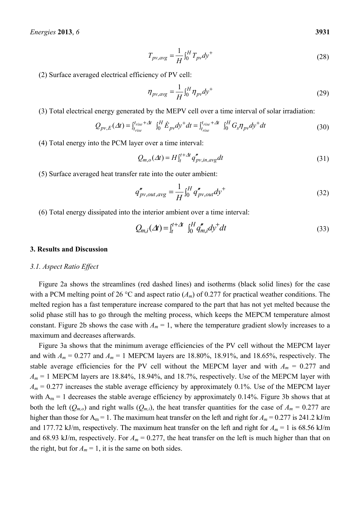$$
T_{pv,avg} = \frac{1}{H} \int_0^H T_{pv} dy^+ \tag{28}
$$

(2) Surface averaged electrical efficiency of PV cell:

$$
\eta_{pv,avg} = \frac{1}{H} \int_0^H \eta_{pv} dy^+ \tag{29}
$$

(3) Total electrical energy generated by the MEPV cell over a time interval of solar irradiation:

$$
Q_{pv,E}(\Delta t) = \int_{t_{rise}}^{t_{rise} + \Delta t} \int_0^H \dot{E}_{pv} dy^+ dt = \int_{t_{rise}}^{t_{rise} + \Delta t} \int_0^H G_s \eta_{pv} dy^+ dt
$$
(30)

(4) Total energy into the PCM layer over a time interval:

$$
Q_{m,o}(\Delta t) = H \int_{t}^{t+\Delta t} q_{pv,in,avg}^{n} dt
$$
\n(31)

(5) Surface averaged heat transfer rate into the outer ambient:

$$
q''_{pv,out,avg} = \frac{1}{H} \int_0^H q''_{pv,out} dy^+ \tag{32}
$$

(6) Total energy dissipated into the interior ambient over a time interval:

$$
Q_{m,i}(\Delta t) = \int_{t}^{t+\Delta t} \int_{0}^{H} q_{m,i}'' dy^{+} dt
$$
 (33)

#### **3. Results and Discussion**

#### *3.1. Aspect Ratio Effect*

Figure 2a shows the streamlines (red dashed lines) and isotherms (black solid lines) for the case with a PCM melting point of 26 °C and aspect ratio  $(A_m)$  of 0.277 for practical weather conditions. The melted region has a fast temperature increase compared to the part that has not yet melted because the solid phase still has to go through the melting process, which keeps the MEPCM temperature almost constant. Figure 2b shows the case with  $A_m = 1$ , where the temperature gradient slowly increases to a maximum and decreases afterwards.

Figure 3a shows that the minimum average efficiencies of the PV cell without the MEPCM layer and with  $A_m = 0.277$  and  $A_m = 1$  MEPCM layers are 18.80%, 18.91%, and 18.65%, respectively. The stable average efficiencies for the PV cell without the MEPCM layer and with  $A_m = 0.277$  and  $A_m = 1$  MEPCM layers are 18.84%, 18.94%, and 18.7%, respectively. Use of the MEPCM layer with  $A_m$  = 0.277 increases the stable average efficiency by approximately 0.1%. Use of the MEPCM layer with  $A_m = 1$  decreases the stable average efficiency by approximately 0.14%. Figure 3b shows that at both the left  $(Q_{m,o})$  and right walls  $(Q_{m,i})$ , the heat transfer quantities for the case of  $A_m = 0.277$  are higher than those for  $A_m = 1$ . The maximum heat transfer on the left and right for  $A_m = 0.277$  is 241.2 kJ/m and 177.72 kJ/m, respectively. The maximum heat transfer on the left and right for  $A_m = 1$  is 68.56 kJ/m and 68.93 kJ/m, respectively. For  $A_m = 0.277$ , the heat transfer on the left is much higher than that on the right, but for  $A_m = 1$ , it is the same on both sides.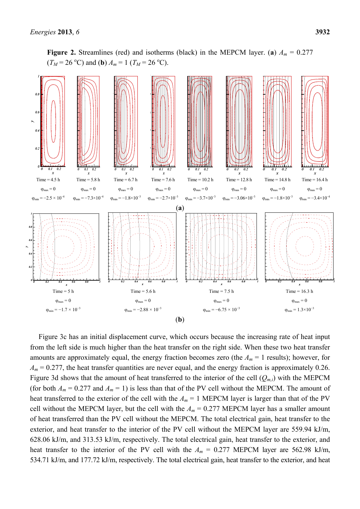

**Figure 2.** Streamlines (red) and isotherms (black) in the MEPCM layer. (a)  $A_m = 0.277$  $(T_M = 26 \text{ °C})$  and (**b**)  $A_m = 1$  ( $T_M = 26 \text{ °C}$ ).

Figure 3c has an initial displacement curve, which occurs because the increasing rate of heat input from the left side is much higher than the heat transfer on the right side. When these two heat transfer amounts are approximately equal, the energy fraction becomes zero (the  $A_m = 1$  results); however, for  $A_m$  = 0.277, the heat transfer quantities are never equal, and the energy fraction is approximately 0.26. Figure 3d shows that the amount of heat transferred to the interior of the cell  $(Q_{m,i})$  with the MEPCM (for both  $A_m = 0.277$  and  $A_m = 1$ ) is less than that of the PV cell without the MEPCM. The amount of heat transferred to the exterior of the cell with the  $A_m = 1$  MEPCM layer is larger than that of the PV cell without the MEPCM layer, but the cell with the  $A_m = 0.277$  MEPCM layer has a smaller amount of heat transferred than the PV cell without the MEPCM. The total electrical gain, heat transfer to the exterior, and heat transfer to the interior of the PV cell without the MEPCM layer are 559.94 kJ/m, 628.06 kJ/m, and 313.53 kJ/m, respectively. The total electrical gain, heat transfer to the exterior, and heat transfer to the interior of the PV cell with the  $A_m = 0.277$  MEPCM layer are 562.98 kJ/m, 534.71 kJ/m, and 177.72 kJ/m, respectively. The total electrical gain, heat transfer to the exterior, and heat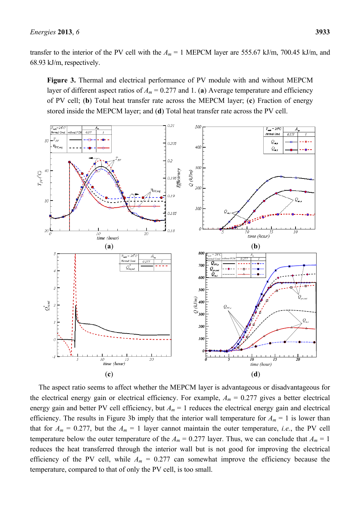transfer to the interior of the PV cell with the  $A_m = 1$  MEPCM layer are 555.67 kJ/m, 700.45 kJ/m, and 68.93 kJ/m, respectively.

**Figure 3.** Thermal and electrical performance of PV module with and without MEPCM layer of different aspect ratios of  $A_m = 0.277$  and 1. (a) Average temperature and efficiency of PV cell; (**b**) Total heat transfer rate across the MEPCM layer; (**c**) Fraction of energy stored inside the MEPCM layer; and (**d**) Total heat transfer rate across the PV cell.



The aspect ratio seems to affect whether the MEPCM layer is advantageous or disadvantageous for the electrical energy gain or electrical efficiency. For example,  $A_m = 0.277$  gives a better electrical energy gain and better PV cell efficiency, but  $A_m = 1$  reduces the electrical energy gain and electrical efficiency. The results in Figure 3b imply that the interior wall temperature for  $A_m = 1$  is lower than that for  $A_m = 0.277$ , but the  $A_m = 1$  layer cannot maintain the outer temperature, *i.e.*, the PV cell temperature below the outer temperature of the  $A_m = 0.277$  layer. Thus, we can conclude that  $A_m = 1$ reduces the heat transferred through the interior wall but is not good for improving the electrical efficiency of the PV cell, while  $A_m = 0.277$  can somewhat improve the efficiency because the temperature, compared to that of only the PV cell, is too small.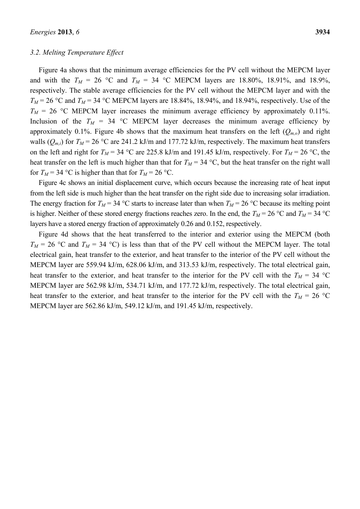#### *3.2. Melting Temperature Effect*

Figure 4a shows that the minimum average efficiencies for the PV cell without the MEPCM layer and with the  $T_M = 26$  °C and  $T_M = 34$  °C MEPCM layers are 18.80%, 18.91%, and 18.9%, respectively. The stable average efficiencies for the PV cell without the MEPCM layer and with the  $T_M$  = 26 °C and  $T_M$  = 34 °C MEPCM layers are 18.84%, 18.94%, and 18.94%, respectively. Use of the  $T_M$  = 26 °C MEPCM layer increases the minimum average efficiency by approximately 0.11%. Inclusion of the  $T_M = 34$  °C MEPCM layer decreases the minimum average efficiency by approximately 0.1%. Figure 4b shows that the maximum heat transfers on the left  $(Q_{m,o})$  and right walls ( $Q_{m,i}$ ) for  $T_M$  = 26 °C are 241.2 kJ/m and 177.72 kJ/m, respectively. The maximum heat transfers on the left and right for  $T_M$  = 34 °C are 225.8 kJ/m and 191.45 kJ/m, respectively. For  $T_M$  = 26 °C, the heat transfer on the left is much higher than that for  $T_M = 34 \text{ °C}$ , but the heat transfer on the right wall for  $T_M$  = 34 °C is higher than that for  $T_M$  = 26 °C.

Figure 4c shows an initial displacement curve, which occurs because the increasing rate of heat input from the left side is much higher than the heat transfer on the right side due to increasing solar irradiation. The energy fraction for  $T_M = 34 \text{ °C}$  starts to increase later than when  $T_M = 26 \text{ °C}$  because its melting point is higher. Neither of these stored energy fractions reaches zero. In the end, the  $T_M = 26$  °C and  $T_M = 34$  °C layers have a stored energy fraction of approximately 0.26 and 0.152, respectively.

Figure 4d shows that the heat transferred to the interior and exterior using the MEPCM (both  $T_M$  = 26 °C and  $T_M$  = 34 °C) is less than that of the PV cell without the MEPCM layer. The total electrical gain, heat transfer to the exterior, and heat transfer to the interior of the PV cell without the MEPCM layer are 559.94 kJ/m, 628.06 kJ/m, and 313.53 kJ/m, respectively. The total electrical gain, heat transfer to the exterior, and heat transfer to the interior for the PV cell with the  $T_M = 34 \text{ °C}$ MEPCM layer are 562.98 kJ/m, 534.71 kJ/m, and 177.72 kJ/m, respectively. The total electrical gain, heat transfer to the exterior, and heat transfer to the interior for the PV cell with the  $T_M = 26$  °C MEPCM layer are 562.86 kJ/m, 549.12 kJ/m, and 191.45 kJ/m, respectively.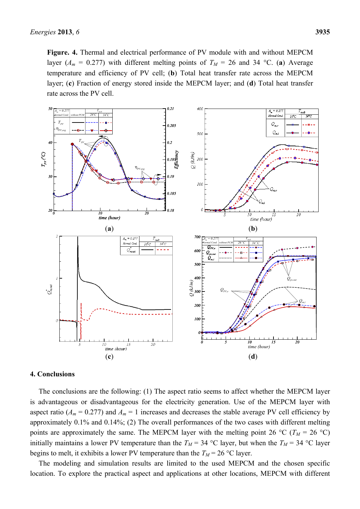**Figure. 4.** Thermal and electrical performance of PV module with and without MEPCM layer ( $A_m = 0.277$ ) with different melting points of  $T_M = 26$  and 34 °C. (a) Average temperature and efficiency of PV cell; (**b**) Total heat transfer rate across the MEPCM layer; (**c**) Fraction of energy stored inside the MEPCM layer; and (**d**) Total heat transfer rate across the PV cell.



### **4. Conclusions**

The conclusions are the following: (1) The aspect ratio seems to affect whether the MEPCM layer is advantageous or disadvantageous for the electricity generation. Use of the MEPCM layer with aspect ratio ( $A_m$  = 0.277) and  $A_m$  = 1 increases and decreases the stable average PV cell efficiency by approximately 0.1% and 0.14%; (2) The overall performances of the two cases with different melting points are approximately the same. The MEPCM layer with the melting point 26 °C ( $T_M$  = 26 °C) initially maintains a lower PV temperature than the  $T_M = 34$  °C layer, but when the  $T_M = 34$  °C layer begins to melt, it exhibits a lower PV temperature than the  $T_M = 26 \degree C$  layer.

The modeling and simulation results are limited to the used MEPCM and the chosen specific location. To explore the practical aspect and applications at other locations, MEPCM with different